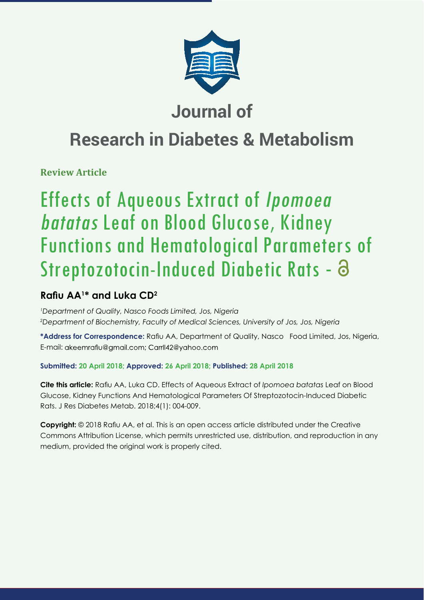

# **Journal of**

# **Research in Diabetes & Metabolism**

**Review Article**

# Effects of Aqueous Extract of Ipomoea batatas Leaf on Blood Glucose, Kidney Functions and Hematological Parameters of Streptozotocin-Induced Diabetic Rats - 8

# **Rafiu AA<sup>1\*</sup> and Luka CD<sup>2</sup>**

*1 Department of Quality, Nasco Foods Limited, Jos, Nigeria 2 Department of Biochemistry, Faculty of Medical Sciences, University of Jos, Jos, Nigeria*

\*Address for Correspondence: Rafiu AA, Department of Quality, Nasco Food Limited, Jos, Nigeria, E-mail: akeemrafiu@gmail.com; Carrll42@yahoo.com

# **Submitted: 20 April 2018; Approved: 26 April 2018; Published: 28 April 2018**

**Cite this article:** Rafiu AA, Luka CD. Effects of Aqueous Extract of *Ipomoea batatas* Leaf on Blood Glucose, Kidney Functions And Hematological Parameters Of Streptozotocin-Induced Diabetic Rats. J Res Diabetes Metab. 2018;4(1): 004-009.

**Copyright:** © 2018 Rafiu AA, et al. This is an open access article distributed under the Creative Commons Attribution License, which permits unrestricted use, distribution, and reproduction in any medium, provided the original work is properly cited.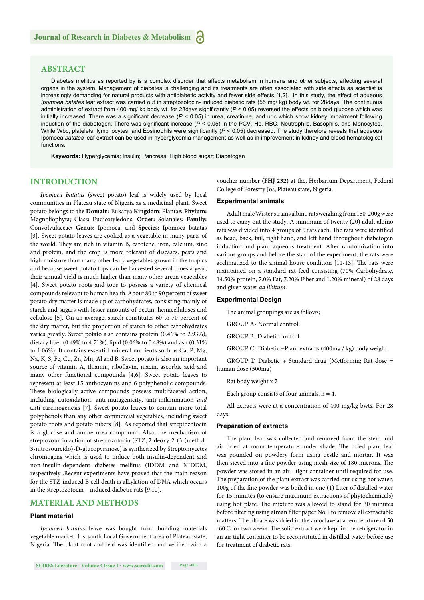### **ABSTRACT**

Diabetes mellitus as reported by is a complex disorder that affects metabolism in humans and other subjects, affecting several organs in the system. Management of diabetes is challenging and its treatments are often associated with side effects as scientist is increasingly demanding for natural products with antidiabetic activity and fewer side effects [1,2]. In this study, the effect of aqueous *Ipomoea batatas* leaf extract was carried out in streptozotocin- induced diabetic rats (55 mg/ kg) body wt. for 28days. The continuous administration of extract from 400 mg/ kg body wt. for 28days significantly ( $P < 0.05$ ) reversed the effects on blood glucose which was initially increased. There was a significant decrease (P < 0.05) in urea, creatinine, and uric which show kidney impairment following induction of the diabetogen. There was significant increase ( $P < 0.05$ ) in the PCV, Hb, RBC, Neutrophils, Basophils, and Monocytes. While Wbc, platelets, lymphocytes, and Eosinophils were significantly ( $P < 0.05$ ) decreased. The study therefore reveals that aqueous Ipomoea *batatas* leaf extract can be used in hyperglycemia management as well as in improvement in kidney and blood hematological functions.

**Keywords:** Hyperglycemia; Insulin; Pancreas; High blood sugar; Diabetogen

#### **INTRODUCTION**

*Ipomoea batatas* (sweet potato) leaf is widely used by local communities in Plateau state of Nigeria as a medicinal plant. Sweet potato belongs to the **Domain:** Eukarya **Kingdom**: Plantae; **Phylum:** Magnoliophyta; Class**:** Eudicotyledons; **Order:** Solanales; **Family:** Convolvulaceae**; Genus**: Ipomoea; and **Species:** Ipomoea batatas [3]. Sweet potato leaves are cooked as a vegetable in many parts of the world. They are rich in vitamin B, carotene, iron, calcium, zinc and protein, and the crop is more tolerant of diseases, pests and high moisture than many other leafy vegetables grown in the tropics and because sweet potato tops can be harvested several times a year, their annual yield is much higher than many other green vegetables [4]. Sweet potato roots and tops to possess a variety of chemical compounds relevant to human health. About 80 to 90 percent of sweet potato dry matter is made up of carbohydrates, consisting mainly of starch and sugars with lesser amounts of pectin, hemicelluloses and cellulose [5]. On an average, starch constitutes 60 to 70 percent of the dry matter, but the proportion of starch to other carbohydrates varies greatly. Sweet potato also contains protein (0.46% to 2.93%), dietary fiber (0.49% to 4.71%), lipid (0.06% to 0.48%) and ash (0.31% to 1.06%). It contains essential mineral nutrients such as Ca, P, Mg, Na, K, S, Fe, Cu, Zn, Mn, Al and B. Sweet potato is also an important source of vitamin A, thiamin, riboflavin, niacin, ascorbic acid and many other functional compounds [4,6]. Sweet potato leaves to represent at least 15 anthocyanins and 6 polyphenolic compounds. These biologically active compounds possess multifaceted action, including autoxidation, anti-mutagenicity, anti-inflammation and anti-carcinogenesis [7]. Sweet potato leaves to contain more total polyphenols than any other commercial vegetables, including sweet potato roots and potato tubers [8]. As reported that streptozotocin is a glucose and amine urea compound. Also, the mechanism of streptozotocin action of streptozotocin (STZ, 2-deoxy-2-(3-(methyl-3-nitrosoureido)-D-glucopyranose) is synthesized by Streptomycetes chromogens which is used to induce both insulin-dependent and non-insulin-dependent diabetes mellitus (IDDM and NIDDM, respectively .Recent experiments have proved that the main reason for the STZ-induced B cell death is alkylation of DNA which occurs in the streptozotocin – induced diabetic rats [9,10].

#### **MATERIAL AND METHODS**

#### **Plant material**

*Ipomoea batatas* leave was bought from building materials vegetable market, Jos-south Local Government area of Plateau state, Nigeria. The plant root and leaf was identified and verified with a voucher number **(FHJ 232)** at the, Herbarium Department, Federal College of Forestry Jos, Plateau state, Nigeria.

#### **Experimental animals**

Adult male Wister strains albino rats weighing from 150-200g were used to carry out the study. A minimum of twenty (20) adult albino rats was divided into 4 groups of 5 rats each. The rats were identified as head, back, tail, right hand, and left hand throughout diabetogen induction and plant aqueous treatment. After randomization into various groups and before the start of the experiment, the rats were acclimatized to the animal house condition [11-13]. The rats were maintained on a standard rat feed consisting (70% Carbohydrate, 14.50% protein, 7.0% Fat, 7.20% Fiber and 1.20% mineral) of 28 days and given water *ad libitum*.

#### **Experimental Design**

The animal groupings are as follows;

GROUP A- Normal control.

GROUP B- Diabetic control.

GROUP C- Diabetic +Plant extracts (400mg / kg) body weight.

GROUP D Diabetic + Standard drug (Metformin; Rat dose = human dose (500mg)

Rat body weight x 7

Each group consists of four animals,  $n = 4$ .

All extracts were at a concentration of 400 mg/kg bwts. For 28 days.

#### **Preparation of extracts**

The plant leaf was collected and removed from the stem and air dried at room temperature under shade. The dried plant leaf was pounded on powdery form using pestle and mortar. It was then sieved into a fine powder using mesh size of 180 microns. The powder was stored in an air - tight container until required for use. The preparation of the plant extract was carried out using hot water. 100g of the fine powder was boiled in one (1) Liter of distilled water for 15 minutes (to ensure maximum extractions of phytochemicals) using hot plate. The mixture was allowed to stand for 30 minutes before filtering using atman filter paper No 1 to remove all extractable matters. The filtrate was dried in the autoclave at a temperature of 50 -60°C for two weeks. The solid extract were kept in the refrigerator in an air tight container to be reconstituted in distilled water before use for treatment of diabetic rats.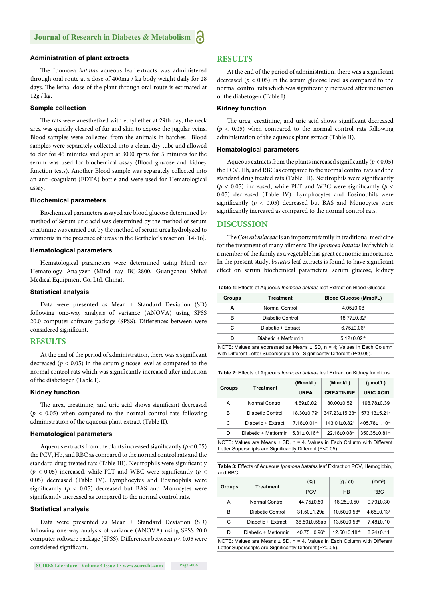#### **Administration of plant extracts**

The Ipomoea batatas aqueous leaf extracts was administered through oral route at a dose of 400mg / kg body weight daily for 28 days. The lethal dose of the plant through oral route is estimated at 12g / kg.

#### **Sample collection**

The rats were anesthetized with ethyl ether at 29th day, the neck area was quickly cleared of fur and skin to expose the jugular veins. Blood samples were collected from the animals in batches. Blood samples were separately collected into a clean, dry tube and allowed to clot for 45 minutes and spun at 3000 rpms for 5 minutes for the serum was used for biochemical assay (Blood glucose and kidney function tests). Another Blood sample was separately collected into an anti-coagulant (EDTA) bottle and were used for Hematological assay.

#### **Biochemical parameters**

Biochemical parameters assayed are blood glucose determined by method of Serum uric acid was determined by the method of serum creatinine was carried out by the method of serum urea hydrolyzed to ammonia in the presence of ureas in the Berthelot's reaction [14-16].

#### **Hematological parameters**

Hematological parameters were determined using Mind ray Hematology Analyzer (Mind ray BC-2800, Guangzhou Shihai Medical Equipment Co. Ltd, China).

#### **Statistical analysis**

Data were presented as Mean ± Standard Deviation (SD) following one-way analysis of variance (ANOVA) using SPSS 20.0 computer software package (SPSS). Differences between were considered significant.

#### **RESULTS**

At the end of the period of administration, there was a significant decreased ( $p < 0.05$ ) in the serum glucose level as compared to the normal control rats which was significantly increased after induction of the diabetogen (Table I).

#### **Kidney function**

The urea, creatinine, and uric acid shows significant decreased  $(p < 0.05)$  when compared to the normal control rats following administration of the aqueous plant extract (Table II).

#### **Hematological parameters**

Aqueous extracts from the plants increased significantly ( $p < 0.05$ ) the PCV, Hb, and RBC as compared to the normal control rats and the standard drug treated rats (Table III). Neutrophils were significantly ( $p$  < 0.05) increased, while PLT and WBC were significantly ( $p$  < 0.05) decreased (Table IV). Lymphocytes and Eosinophils were significantly ( $p < 0.05$ ) decreased but BAS and Monocytes were significantly increased as compared to the normal control rats.

#### **Statistical analysis**

Data were presented as Mean ± Standard Deviation (SD) following one-way analysis of variance (ANOVA) using SPSS 20.0 computer software package (SPSS). Differences between  $p < 0.05$  were considered significant.

#### **RESULTS**

At the end of the period of administration, there was a significant decreased ( $p < 0.05$ ) in the serum glucose level as compared to the normal control rats which was significantly increased after induction of the diabetogen (Table I).

#### **Kidney function**

The urea, creatinine, and uric acid shows significant decreased  $(p < 0.05)$  when compared to the normal control rats following administration of the aqueous plant extract (Table II).

#### **Hematological parameters**

Aqueous extracts from the plants increased significantly ( $p < 0.05$ ) the PCV, Hb, and RBC as compared to the normal control rats and the standard drug treated rats (Table III). Neutrophils were significantly ( $p$  < 0.05) increased, while PLT and WBC were significantly ( $p$  < 0.05) decreased (Table IV). Lymphocytes and Eosinophils were significantly ( $p < 0.05$ ) decreased but BAS and Monocytes were significantly increased as compared to the normal control rats.

#### **DISCUSSION**

The *Convulvulaceae* is an important family in traditional medicine for the treatment of many ailments The *Ipomoea batatas* leaf which is a member of the family as a vegetable has great economic importance. In the present study, *batatas* leaf extracts is found to have significant effect on serum biochemical parameters; serum glucose, kidney

| Table 1: Effects of Aqueous <i>Ipomoea batatas</i> leaf Extract on Blood Glucose. |                      |                               |  |
|-----------------------------------------------------------------------------------|----------------------|-------------------------------|--|
| <b>Groups</b>                                                                     | Treatment            | <b>Blood Glucose (Mmol/L)</b> |  |
| Α                                                                                 | Normal Control       | $4.05 \pm 0.08$               |  |
| в                                                                                 | Diabetic Control     | 18.77±0.32 <sup>a</sup>       |  |
| C                                                                                 | Diabetic + Extract   | $6.75 \pm 0.06$ <sup>b</sup>  |  |
| D                                                                                 | Diabetic + Metformin | $5.12 \pm 0.02$ <sup>ab</sup> |  |
|                                                                                   | $\mathbf{v}$         |                               |  |

NOTE: Values are expressed as Means  $\pm$  SD, n = 4; Values in Each Column with Different Letter Superscripts are Significantly Different (P<0.05).

|  | Table 2: Effects of Aqueous <i>Ipomoea batatas</i> leaf Extract on Kidney functions. |                                                                              |                         |                           |                           |
|--|--------------------------------------------------------------------------------------|------------------------------------------------------------------------------|-------------------------|---------------------------|---------------------------|
|  | <b>Groups</b>                                                                        | <b>Treatment</b>                                                             | (Mmol/L)                | (Mmol/L)                  | $(\mu \text{mol/L})$      |
|  | <b>UREA</b>                                                                          | <b>CREATININE</b>                                                            | <b>URIC ACID</b>        |                           |                           |
|  | A                                                                                    | Normal Control                                                               | $4.69 \pm 0.02$         | $80.00 \pm 0.52$          | 198.78±0.39               |
|  | R                                                                                    | Diabetic Control                                                             | 18.30±0.79 <sup>a</sup> | 347.23±15.23 <sup>a</sup> | 573.13±5.21 <sup>a</sup>  |
|  | C                                                                                    | Diabetic + Extract                                                           | 7.16±0.01ab             | 143.01±0.82 <sup>b</sup>  | 405.78±1.10 <sup>ab</sup> |
|  | D                                                                                    | Diabetic + Metformin                                                         | $5.31 \pm 0.16^{ab}$    | 122.16±0.08 <sup>ab</sup> | 350.35±0.81 <sup>ab</sup> |
|  |                                                                                      | NOTE: Values are Means $\pm$ SD, n = 4. Values in Each Column with Different |                         |                           |                           |

Letter Superscripts are Significantly Different (P<0.05).

**Table 3:** Effects of Aqueous *Ipomoea batatas* leaf Extract on PCV, Hemoglobin, and RBC.

| <b>Groups</b> | <b>Treatment</b>                                                                                                                          | $(\% )$                  | (g/d)                         | (mm <sup>3</sup> )           |
|---------------|-------------------------------------------------------------------------------------------------------------------------------------------|--------------------------|-------------------------------|------------------------------|
|               |                                                                                                                                           | <b>PCV</b>               | <b>HB</b>                     | <b>RBC</b>                   |
| A             | Normal Control                                                                                                                            | 44.75±0.50               | $16.25 \pm 0.50$              | $9.79 \pm 0.30$              |
| B             | Diabetic Control                                                                                                                          | $31.50 + 1.29a$          | $10.50 \pm 0.58$ <sup>a</sup> | $4.65 \pm 0.13$ <sup>a</sup> |
| C             | Diabetic + Extract                                                                                                                        | 38.50±0.58ab             | $13.50\pm0.58^{\circ}$        | $7.48 \pm 0.10$              |
| D             | Diabetic + Metformin                                                                                                                      | $40.75 \pm 0.96^{\circ}$ | 12.50±0.18 <sup>ab</sup>      | $8.24 \pm 0.11$              |
|               | NOTE: Values are Means $\pm$ SD, n = 4. Values in Each Column with Different<br>Letter Superscripts are Significantly Different (P<0.05). |                          |                               |                              |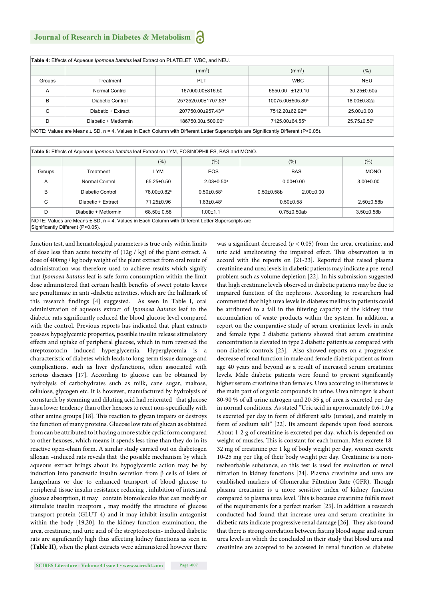## **Journal of Research in Diabetes & Metabolism**

| <b>Table 4:</b> Effects of Aqueous <i>Ipomoea batatas</i> leaf Extract on PLATELET, WBC, and NEU. |                      |                                                                                                                                    |                              |                               |
|---------------------------------------------------------------------------------------------------|----------------------|------------------------------------------------------------------------------------------------------------------------------------|------------------------------|-------------------------------|
|                                                                                                   |                      | (mm <sup>3</sup> )                                                                                                                 | (mm <sup>3</sup> )           | (% )                          |
| Groups                                                                                            | <b>Treatment</b>     | <b>PLT</b>                                                                                                                         | <b>WBC</b>                   | <b>NEU</b>                    |
| A                                                                                                 | Normal Control       | 167000.00±816.50                                                                                                                   | 6550.00 ±129.10              | $30.25 \pm 0.50a$             |
| B                                                                                                 | Diabetic Control     | 2572520.00±1707.83 <sup>a</sup>                                                                                                    | 10075.00±505.80 <sup>a</sup> | $18.00 \pm 0.82a$             |
| C                                                                                                 | Diabetic + Extract   | 207750.00±957.43 <sup>ab</sup>                                                                                                     | 7512.20±62.92 <sup>ab</sup>  | $25.00 \pm 0.00$              |
| D                                                                                                 | Diabetic + Metformin | 186750.00±500.00 <sup>b</sup>                                                                                                      | 7125.00±64.55 <sup>b</sup>   | $25.75 \pm 0.50$ <sup>b</sup> |
|                                                                                                   |                      | NOTE: Values are Means ± SD, n = 4. Values in Each Column with Different Letter Superscripts are Significantly Different (P<0.05). |                              |                               |

|        |                      | (% )                    | (% )                         | (% )                               | $(\% )$           |
|--------|----------------------|-------------------------|------------------------------|------------------------------------|-------------------|
| Groups | Treatment            | LYM                     | <b>EOS</b>                   | <b>BAS</b>                         | <b>MONO</b>       |
| A      | Normal Control       | $65.25 \pm 0.50$        | $2.03 \pm 0.50$ <sup>a</sup> | $0.00 + 0.00$                      | $3.00 \pm 0.00$   |
| B      | Diabetic Control     | 78.00±0.82 <sup>a</sup> | $0.50 \pm 0.58$ <sup>b</sup> | $2.00 \pm 0.00$<br>$0.50 + 0.58$ b |                   |
| C      | Diabetic + Extract   | 71.25±0.96              | $1.63 \pm 0.48$ <sup>a</sup> | $0.50 + 0.58$                      | $2.50 \pm 0.58$ b |
| D      | Diabetic + Metformin | 68.50± 0.58             | $1.00 + 1.1$                 | $0.75 \pm 0.50$ ab                 | $3.50 + 0.58$ b   |

function test, and hematological parameters is true only within limits of dose less than acute toxicity of (12g / kg) of the plant extract. A dose of 400mg / kg body weight of the plant extract from oral route of administration was therefore used to achieve results which signify that *Ipomoea batatas* leaf is safe form consumption within the limit dose administered that certain health benefits of sweet potato leaves are penultimate in anti -diabetic activities, which are the hallmark of this research findings [4] suggested. As seen in Table I, oral administration of aqueous extract of *Ipomoea batatas* leaf to the diabetic rats significantly reduced the blood glucose level compared with the control. Previous reports has indicated that plant extracts possess hypoglycemic properties, possible insulin release stimulatory effects and uptake of peripheral glucose, which in turn reversed the streptozotocin induced hyperglycemia. Hyperglycemia is a characteristic of diabetes which leads to long-term tissue damage and complications, such as liver dysfunctions, often associated with serious diseases [17]. According to glucose can be obtained by hydrolysis of carbohydrates such as milk, cane sugar, maltose, cellulose, glycogen etc. It is however, manufactured by hydrolysis of cornstarch by steaming and diluting acid had reiterated that glucose has a lower tendency than other hexoses to react non-specifically with other amine groups [18]. This reaction to glycan impairs or destroys the function of many proteins. Glucose low rate of glucan as obtained from can be attributed to it having a more stable cyclic form compared to other hexoses, which means it spends less time than they do in its reactive open-chain form. A similar study carried out on diabetogen alloxan –induced rats reveals that the possible mechanism by which aqueous extract brings about its hypoglycemic action may be by induction into pancreatic insulin secretion from β cells of islets of Langerhans or due to enhanced transport of blood glucose to peripheral tissue insulin resistance reducing , inhibition of intestinal glucose absorption, it may contain biomolecules that can modify or stimulate insulin receptors , may modify the structure of glucose transport protein (GLUT 4) and it may inhibit insulin antagonist within the body [19,20]. In the kidney function examination, the urea, creatinine, and uric acid of the streptozotocin- induced diabetic rats are significantly high thus affecting kidney functions as seen in **(Table II**), when the plant extracts were administered however there

was a significant decreased ( $p < 0.05$ ) from the urea, creatinine, and uric acid ameliorating the impaired effect. This observation is in accord with the reports on [21-23]. Reported that raised plasma creatinine and urea levels in diabetic patients may indicate a pre-renal problem such as volume depletion [22]. In his submission suggested that high creatinine levels observed in diabetic patients may be due to impaired function of the nephrons. According to researchers had commented that high urea levels in diabetes mellitus in patients could be attributed to a fall in the filtering capacity of the kidney thus accumulation of waste products within the system. In addition, a report on the comparative study of serum creatinine levels in male and female type 2 diabetic patients showed that serum creatinine concentration is elevated in type 2 diabetic patients as compared with non-diabetic controls [23]. Also showed reports on a progressive decrease of renal function in male and female diabetic patient as from age 40 years and beyond as a result of increased serum creatinine levels. Male diabetic patients were found to present significantly higher serum creatinine than females. Urea according to literatures is the main part of organic compounds in urine. Urea nitrogen is about 80-90 % of all urine nitrogen and 20-35 g of urea is excreted per day in normal conditions. As stated "Uric acid in approximately 0.6-1.0 g is excreted per day in form of different salts (urates), and mainly in form of sodium salt" [22]. Its amount depends upon food sources. About 1-2 g of creatinine is excreted per day, which is depended on weight of muscles. This is constant for each human. Men excrete 18-32 mg of creatinine per 1 kg of body weight per day, women excrete 10-25 mg per 1kg of their body weight per day. Creatinine is a nonreabsorbable substance, so this test is used for evaluation of renal filtration in kidney functions [24]. Plasma creatinine and urea are established markers of Glomerular Filtration Rate (GFR). Though plasma creatinine is a more sensitive index of kidney function compared to plasma urea level. This is because creatinine fulfils most of the requirements for a perfect marker [25]. In addition a research conducted had found that increase urea and serum creatinine in diabetic rats indicate progressive renal damage [26]. They also found that there is strong correlation between fasting blood sugar and serum urea levels in which the concluded in their study that blood urea and creatinine are accepted to be accessed in renal function as diabetes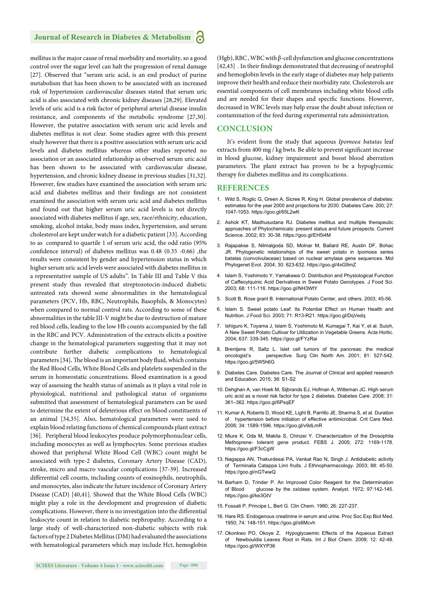### **Journal of Research in Diabetes & Metabolism**

mellitus is the major cause of renal morbidity and mortality, so a good control over the sugar level can halt the progression of renal damage [27]. Observed that "serum uric acid, is an end product of purine metabolism that has been shown to be associated with an increased risk of hypertension cardiovascular diseases stated that serum uric acid is also associated with chronic kidney diseases [28,29]. Elevated levels of uric acid is a risk factor of peripheral arterial disease insulin resistance, and components of the metabolic syndrome [27,30]. However, the putative association with serum uric acid levels and diabetes mellitus is not clear. Some studies agree with this present study however that there is a positive association with serum uric acid levels and diabetes mellitus whereas other studies reported no association or an associated relationship as observed serum uric acid has been shown to be associated with cardiovascular disease, hypertension, and chronic kidney disease in previous studies [31,32]. However, few studies have examined the association with serum uric acid and diabetes mellitus and their findings are not consistent examined the association with serum uric acid and diabetes mellitus and found out that higher serum uric acid levels is not directly associated with diabetes mellitus if age, sex, race/ethnicity, education, smoking, alcohol intake, body mass index, hypertension, and serum cholesterol are kept under watch for a diabetic patient [33]. According to as compared to quartile 1 of serum uric acid, the odd ratio (95% confidence interval) of diabetes mellitus was  $0.48$  ( $0.35$  - $0.66$ ), the results were consistent by gender and hypertension status in which higher serum uric acid levels were associated with diabetes mellitus in a representative sample of US adults". In Table III and Table V this present study thus revealed that streptozotocin-induced diabetic untreated rats showed some abnormalities in the hematological parameters (PCV, Hb, RBC, Neutrophils, Basophils, & Monocytes) when compared to normal control rats. According to some of these abnormalities in the table III-V might be due to destruction of mature red blood cells, leading to the low Hb counts accompanied by the fall in the RBC and PCV. Administration of the extracts elicits a positive change in the hematological parameters suggesting that it may not contribute further diabetic complications to hematological parameters [34]. The blood is an important body fluid, which contains the Red Blood Cells, White Blood Cells and platelets suspended in the serum in homeostatic concentrations. Blood examination is a good way of assessing the health status of animals as it plays a vital role in physiological, nutritional and pathological status of organisms submitted that assessment of hematological parameters can be used to determine the extent of deleterious effect on blood constituents of an animal [34,35]. Also, hematological parameters were used to explain blood relating functions of chemical compounds plant extract [36]. Peripheral blood leukocytes produce polymorphonuclear cells, including monocytes as well as lymphocytes. Some previous studies showed that peripheral White Blood Cell (WBC) count might be associated with type-2 diabetes, Coronary Artery Disease (CAD), stroke, micro and macro vascular complications [37-39]. Increased differential cell counts, including counts of eosinophils, neutrophils, and monocytes, also indicate the future incidence of Coronary Artery Disease (CAD) [40,41]. Showed that the White Blood Cells (WBC) might play a role in the development and progression of diabetic complications. However, there is no investigation into the differential leukocyte count in relation to diabetic nephropathy. According to a large study of well-characterized non-diabetic subjects with risk factors of type 2 Diabetes Mellitus (DM) had evaluated the associations with hematological parameters which may include Hct, hemoglobin

(Hgb), RBC , WBC with β-cell dysfunction and glucose concentrations [42,43] . In their findings demonstrated that decreasing of neutrophil and hemoglobin levels in the early stage of diabetes may help patients improve their health and reduce their morbidity rate. Cholesterols are essential components of cell membranes including white blood cells and are needed for their shapes and specific functions. However, decreased in WBC levels may help erase the doubt about infection or contamination of the feed during experimental rats administration.

#### **CONCLUSION**

It's evident from the study that aqueous *Ipomoea batatas* leaf extracts from 400 mg / kg bwts. Be able to prevent significant increase in blood glucose, kidney impairment and boost blood aberration parameters. The plant extract has proven to be a hypoglycemic therapy for diabetes mellitus and its complications.

#### **REFERENCES**

- 1. Wild S, Roglic G, Green A, Sicree R, King H. Global prevalence of diabetes: estimates for the year 2000 and projections for 2030. Diabetes Care. 200; 27: 1047-1053. https://goo.gl/65L2wK
- 2. Ashok KT, Madhusudana RJ. Diabetes mellitus and multiple therapeutic approaches of Phytochemicals: present status and future prospects. Current Science. 2002; 83: 30-38. https://goo.gl/EH5i4M
- 3. Rajapakse S, Nilmalgoda SD, Molnar M, Ballard RE, Austin DF, Bohac JR. Phylogenetic relationships of the sweet potato in Ipomoea series batatas (convolvulaceae) based on nuclear amylase gene sequences. Mol Phylogenet Evol. 2004; 30: 623-632. https://goo.gl/4xG9mZ
- 4. Islam S, Yoshimoto Y, Yamakawa O. Distribution and Physiological Function of Caffeoylquinic Acid Derivatives in Sweet Potato Genotypes. J Food Sci. 2003; 68: 111-116. https://goo.gl/NH3WtY
- 5. Scott B, Rose grant B. International Potato Center, and others. 2003; 45-56.
- 6. Islam S. Sweet potato Leaf: Its Potential Effect on Human Health and Nutrition. J Food Sci. 2003; 71: R13-R21. https://goo.gl/DqVedq
- 7. Ishiguro K, Toyama J, Islam S, Yoshimoto M, Kumagai T, Kai Y, et al. Suioh, A New Sweet Potato Cultivar for Utilization in Vegetable Greens. Acta Hortic. 2004; 637: 339-345. https://goo.gl/FYzRai
- 8. Brentjens R, Saltz L. Islet cell tumors of the pancreas: the medical oncologist's perspective. Surg Clin North Am. 2001; 81: 527-542. https://goo.gl/5W5h6G
- 9. Diabetes Care. Diabetes Care. The Journal of Clinical and applied research and Education. 2015; 38: S1-S2
- 10. Dehghan A, van Hoek M, Sijbrands EJ, Hofman A, Witteman JC. High serum uric acid as a novel risk factor for type 2 diabetes. Diabetes Care. 2008; 31: 361–362. https://goo.gl/6PsqEF
- 11. Kumar A, Roberts D, Wood KE, Light B, Parrillo JE, Sharma S, et al. Duration of hypertension before initiation of effective antimicrobial. Crit Care Med. 2006; 34: 1589-1596. https://goo.gl/v9dLmR
- 12. Miura K, Oda M, Makita S, Chinzei Y. Characterization of the Drosophila Methoprene- tolerant gene product. FEBS J. 2005; 272: 1169-1178. https://goo.gl/F3cCgW
- 13. Nagappa AN, Thakurdesai PA, Venkat Rao N, Singh J. Antidiabetic activity of Terminalia Catappa Linn fruits. J Ethnopharmacology. 2003; 88: 45-50. https://goo.gl/nGTwwQ
- 14. Barham D, Trinder P. An Improved Color Reagent for the Determination of Blood glucose by the oxidase system. Analyst. 1972; 97:142-145. https://goo.gl/ke3GtV
- 15. Fossati P, Principe L, Bert G. Clin Chem. 1980; 26: 227-237.
- 16. Hare RS. Endogenous creatinine in serum and urine. Proc Soc Exp Biol Med. 1950; 74: 148-151. https://goo.gl/s6Mcvh
- 17. Okonkwo PO, Okoye Z. Hypoglycaemic Effects of the Aqueous Extract Newbouldia Leaves Root in Rats. Int J Biol Chem. 2009; 12: 42-48. https://goo.gl/WXYP36